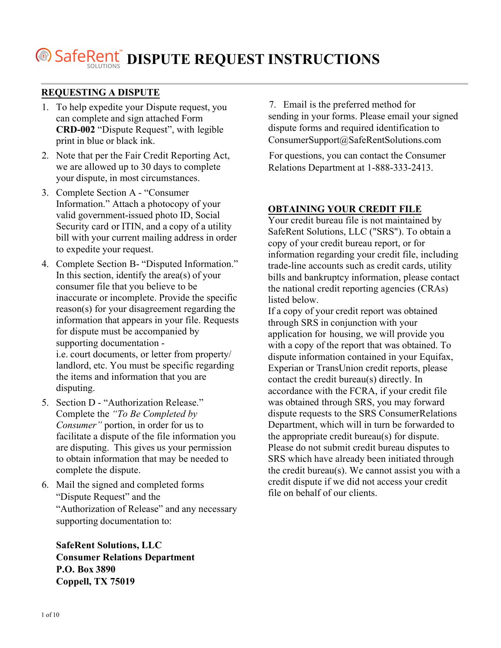# **@ SafeRent DISPUTE REQUEST INSTRUCTIONS**

## **REQUESTING A DISPUTE**

- 1. To help expedite your Dispute request, you can complete and sign attached Form **CRD-002** "Dispute Request", with legible print in blue or black ink.
- 2. Note that per the Fair Credit Reporting Act, we are allowed up to 30 days to complete your dispute, in most circumstances.
- 3. Complete Section A "Consumer Information." Attach a photocopy of your valid government-issued photo ID, Social Security card or ITIN, and a copy of a utility bill with your current mailing address in order to expedite your request.
- 4. Complete Section B- "Disputed Information." In this section, identify the area(s) of your consumer file that you believe to be inaccurate or incomplete. Provide the specific reason(s) for your disagreement regarding the information that appears in your file. Requests for dispute must be accompanied by supporting documentation i.e. court documents, or letter from property/ landlord, etc. You must be specific regarding the items and information that you are disputing.
- 5. Section D "Authorization Release." Complete the *"To Be Completed by Consumer"* portion, in order for us to facilitate a dispute of the file information you are disputing. This gives us your permission to obtain information that may be needed to complete the dispute.
- 6. Mail the signed and completed forms "Dispute Request" and the "Authorization of Release" and any necessary supporting documentation to:

**SafeRent Solutions, LLC Consumer Relations Department P.O. Box 3890 Coppell, TX 75019**

7. Email is the preferred method for sending in your forms. Please email your signed dispute forms and required identification to ConsumerSupport@SafeRentSolutions.com

For questions, you can contact the Consumer Relations Department at 1-888-333-2413.

#### **OBTAINING YOUR CREDIT FILE**

Your credit bureau file is not maintained by SafeRent Solutions, LLC ("SRS"). To obtain a copy of your credit bureau report, or for information regarding your credit file, including trade-line accounts such as credit cards, utility bills and bankruptcy information, please contact the national credit reporting agencies (CRAs) listed below.

If a copy of your credit report was obtained through SRS in conjunction with your application for housing, we will provide you with a copy of the report that was obtained. To dispute information contained in your Equifax, Experian or TransUnion credit reports, please contact the credit bureau(s) directly. In accordance with the FCRA, if your credit file was obtained through SRS, you may forward dispute requests to the SRS Consumer Relations Department, which will in turn be forwarded to the appropriate credit bureau(s) for dispute. Please do not submit credit bureau disputes to SRS which have already been initiated through the credit bureau(s). We cannot assist you with a credit dispute if we did not access your credit file on behalf of our clients.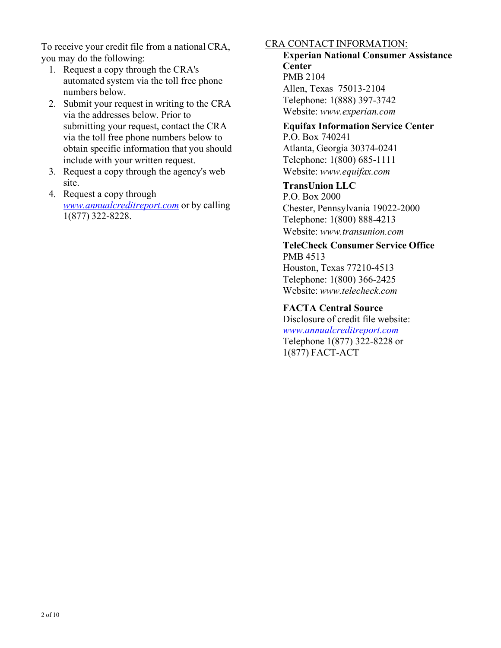To receive your credit file from a national CRA, you may do the following:

- 1. Request a copy through the CRA's automated system via the toll free phone numbers below.
- 2. Submit your request in writing to the CRA via the addresses below. Prior to submitting your request, contact the CRA via the toll free phone numbers below to obtain specific information that you should include with your written request.
- 3. Request a copy through the agency's web site.
- 4. Request a copy through *[www.annualcreditreport.com](http://www.annualcreditreport.com/)* or by calling 1(877) 322-8228.

# CRA CONTACT INFORMATION:

#### **Experian National Consumer Assistance Center** PMB 2104 Allen, Texas 75013-2104 Telephone: 1(888) 397-3742 Website: *[www.experian.com](http://www.experian.com/)*

# **Equifax Information Service Center**

P.O. Box 740241 Atlanta, Georgia 30374-0241 Telephone: 1(800) 685-1111 Website: *[www.equifax.com](http://www.equifax.com/)*

**TransUnion LLC** P.O. Box 2000 Chester, Pennsylvania 19022-2000 Telephone: 1(800) 888-4213 Website: *[www.transunion.com](http://www.transunion.com/)*

#### **TeleCheck Consumer Service Office**  PMB 4513

Houston, Texas 77210-4513 Telephone: 1(800) 366-2425 Website: *[www.telecheck.com](http://www.telecheck.com/)*

**FACTA Central Source**

Disclosure of credit file website: *[www.annualcreditreport.com](http://www.annualcreditreport.com/)* Telephone 1(877) 322-8228 or 1(877) FACT-ACT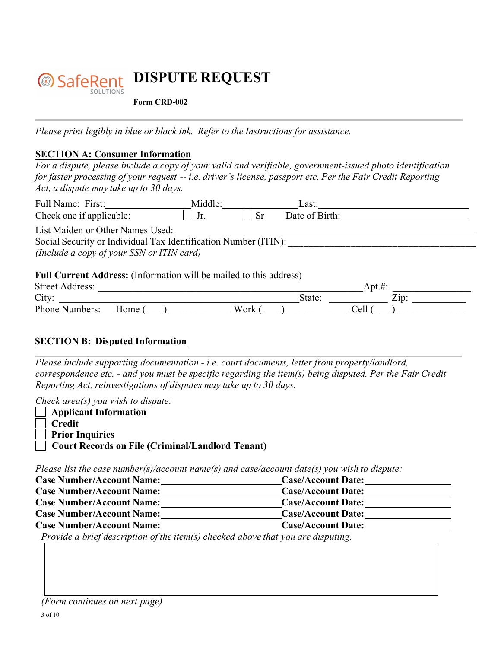

**Form CRD-002** 

*Please print legibly in blue or black ink. Refer to the Instructions for assistance.*

#### **SECTION A: Consumer Information**

*For a dispute, please include a copy of your valid and verifiable, government-issued photo identification for faster processing of your request -- i.e. driver's license, passport etc. Per the Fair Credit Reporting Act, a dispute may take up to 30 days.* 

| Full Name: First:                                                  | Middle: |           | Last:          |  |
|--------------------------------------------------------------------|---------|-----------|----------------|--|
| Check one if applicable:                                           | ∣ Jr.   | <b>Sr</b> | Date of Birth: |  |
| List Maiden or Other Names Used:                                   |         |           |                |  |
| Social Security or Individual Tax Identification Number (ITIN):    |         |           |                |  |
| (Include a copy of your SSN or ITIN card)                          |         |           |                |  |
|                                                                    |         |           |                |  |
| Full Current Address: (Information will be mailed to this address) |         |           |                |  |

| <b>Street Address:</b> |        |      |        | Apt.# |                                          |  |
|------------------------|--------|------|--------|-------|------------------------------------------|--|
| City:                  |        |      | State: |       | $\overline{\phantom{a}}$<br>$\angle$ in' |  |
| Phone Numbers:         | Home ( | Work |        | Cell  |                                          |  |

#### **SECTION B: Disputed Information**

*Please include supporting documentation - i.e. court documents, letter from property/landlord, correspondence etc. - and you must be specific regarding the item(s) being disputed. Per the Fair Credit Reporting Act, reinvestigations of disputes may take up to 30 days.*

*Check area(s) you wish to dispute:* 

**Applicant Information Credit Prior Inquiries Court Records on File (Criminal/Landlord Tenant)** 

*Please list the case number(s)/account name(s) and case/account date(s) you wish to dispute:* 

| <b>Case Number/Account Name:</b>                                                 | <b>Case/Account Date:</b> |
|----------------------------------------------------------------------------------|---------------------------|
| <b>Case Number/Account Name:</b>                                                 | <b>Case/Account Date:</b> |
| <b>Case Number/Account Name:</b>                                                 | <b>Case/Account Date:</b> |
| <b>Case Number/Account Name:</b>                                                 | <b>Case/Account Date:</b> |
| <b>Case Number/Account Name:</b>                                                 | <b>Case/Account Date:</b> |
| Provide a brief description of the item(s) checked above that you are disputing. |                           |

*(Form continues on next page)*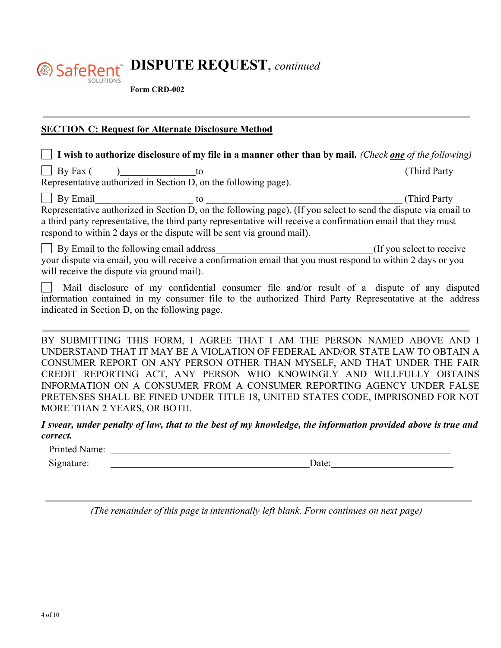

**DISPUTE REQUEST**, *continued*

**Form CRD-002** 

#### **SECTION C: Request for Alternate Disclosure Method**

**I wish to authorize disclosure of my file in a manner other than by mail.** *(Check one of the following)*  By Fax (\_\_\_\_\_) to \_\_\_\_\_\_\_\_\_\_\_\_\_\_\_\_\_\_\_\_\_\_\_\_\_\_\_\_\_\_\_\_\_\_\_\_\_\_\_\_ (Third Party Representative authorized in Section D, on the following page). By Email\_\_\_ \_ to \_\_\_\_\_\_\_\_\_\_\_\_\_\_\_\_\_\_\_\_\_\_\_\_\_\_\_\_\_\_\_\_\_\_\_\_\_\_\_\_ (Third Party Representative authorized in Section D, on the following page). (If you select to send the dispute via email to a third party representative, the third party representative will receive a confirmation email that they must respond to within 2 days or the dispute will be sent via ground mail). | By Email to the following email address (If you select to receive

your dispute via email, you will receive a confirmation email that you must respond to within 2 days or you will receive the dispute via ground mail).

Mail disclosure of my confidential consumer file and/or result of a dispute of any disputed information contained in my consumer file to the authorized Third Party Representative at the address indicated in Section D, on the following page.

BY SUBMITTING THIS FORM, I AGREE THAT I AM THE PERSON NAMED ABOVE AND I UNDERSTAND THAT IT MAY BE A VIOLATION OF FEDERAL AND/OR STATE LAW TO OBTAIN A CONSUMER REPORT ON ANY PERSON OTHER THAN MYSELF, AND THAT UNDER THE FAIR CREDIT REPORTING ACT, ANY PERSON WHO KNOWINGLY AND WILLFULLY OBTAINS INFORMATION ON A CONSUMER FROM A CONSUMER REPORTING AGENCY UNDER FALSE PRETENSES SHALL BE FINED UNDER TITLE 18, UNITED STATES CODE, IMPRISONED FOR NOT MORE THAN 2 YEARS, OR BOTH.

*I swear, under penalty of law, that to the best of my knowledge, the information provided above is true and correct.*

Printed Name:

Signature: Date: Date:

*(The remainder of this page is intentionally left blank. Form continues on next page)*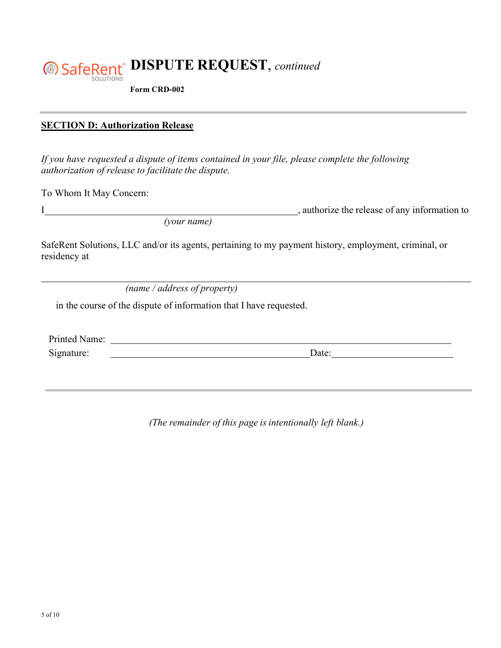

**Form CRD-002** 

#### **SECTION D: Authorization Release**

*If you have requested a dispute of items contained in your file, please complete the following authorization of release to facilitate the dispute.* 

To Whom It May Concern:

|             | authorize the release of any information to |
|-------------|---------------------------------------------|
| (vour name) |                                             |

 $\overline{a}$ 

SafeRent Solutions, LLC and/or its agents, pertaining to my payment history, employment, criminal, or residency at

*(name / address of property)* 

in the course of the dispute of information that I have requested.

| Diriched<br>Name:<br>lleu<br>------- |       |
|--------------------------------------|-------|
| $\sim$<br>nature:<br>$\mathrm{Sig}$  | )ate: |

*(The remainder of this page is intentionally left blank.)*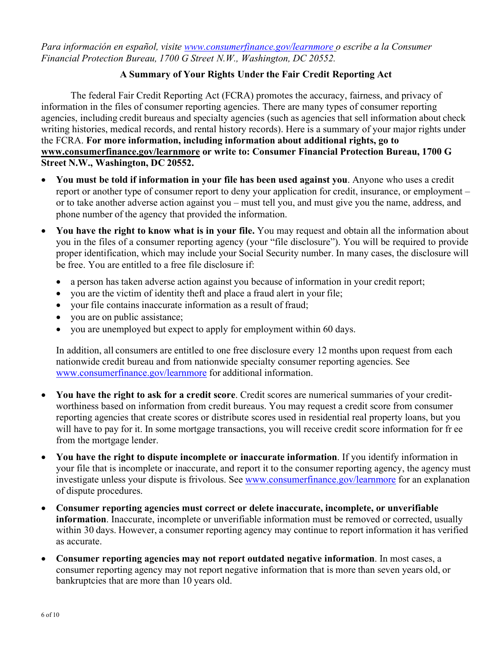*Para información en español, visite [www.consumerfinance.gov/learnmore o](http://www.consumerfinance.gov/learnmore) escribe a la Consumer Financial Protection Bureau, 1700 G Street N.W., Washington, DC 20552.* 

# **A Summary of Your Rights Under the Fair Credit Reporting Act**

The federal Fair Credit Reporting Act (FCRA) promotes the accuracy, fairness, and privacy of information in the files of consumer reporting agencies. There are many types of consumer reporting agencies, including credit bureaus and specialty agencies (such as agencies that sell information about check writing histories, medical records, and rental history records). Here is a summary of your major rights under the FCRA. **For more information, including information about additional rights, go to [www.consumerfinance.gov/learnmore o](http://www.consumerfinance.gov/learnmore)r write to: Consumer Financial Protection Bureau, 1700 G Street N.W., Washington, DC 20552.** 

- **You must be told if information in your file has been used against you**. Anyone who uses a credit report or another type of consumer report to deny your application for credit, insurance, or employment – or to take another adverse action against you – must tell you, and must give you the name, address, and phone number of the agency that provided the information.
- **You have the right to know what is in your file.** You may request and obtain all the information about you in the files of a consumer reporting agency (your "file disclosure"). You will be required to provide proper identification, which may include your Social Security number. In many cases, the disclosure will be free. You are entitled to a free file disclosure if:
	- a person has taken adverse action against you because of information in your credit report;
	- you are the victim of identity theft and place a fraud alert in your file;
	- your file contains inaccurate information as a result of fraud;
	- you are on public assistance;
	- you are unemployed but expect to apply for employment within 60 days.

In addition, all consumers are entitled to one free disclosure every 12 months upon request from each nationwide credit bureau and from nationwide specialty consumer reporting agencies. See [www.consumerfinance.gov/learnmore f](http://www.consumerfinance.gov/learnmore)or additional information.

- **You have the right to ask for a credit score**. Credit scores are numerical summaries of your creditworthiness based on information from credit bureaus. You may request a credit score from consumer reporting agencies that create scores or distribute scores used in residential real property loans, but you will have to pay for it. In some mortgage transactions, you will receive credit score information for fr ee from the mortgage lender.
- **You have the right to dispute incomplete or inaccurate information**. If you identify information in your file that is incomplete or inaccurate, and report it to the consumer reporting agency, the agency must investigate unless your dispute is frivolous. See [www.consumerfinance.gov/learnmore f](http://www.consumerfinance.gov/learnmore)or an explanation of dispute procedures.
- **Consumer reporting agencies must correct or delete inaccurate, incomplete, or unverifiable information**. Inaccurate, incomplete or unverifiable information must be removed or corrected, usually within 30 days. However, a consumer reporting agency may continue to report information it has verified as accurate.
- **Consumer reporting agencies may not report outdated negative information**. In most cases, a consumer reporting agency may not report negative information that is more than seven years old, or bankruptcies that are more than 10 years old.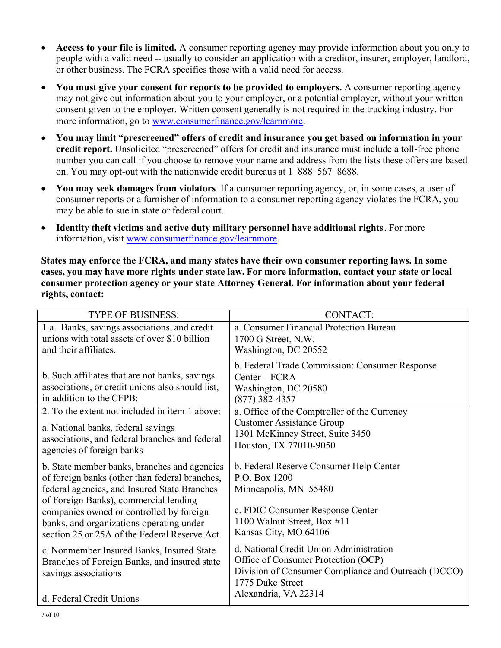- **Access to your file is limited.** A consumer reporting agency may provide information about you only to people with a valid need -- usually to consider an application with a creditor, insurer, employer, landlord, or other business. The FCRA specifies those with a valid need for access.
- **You must give your consent for reports to be provided to employers.** A consumer reporting agency may not give out information about you to your employer, or a potential employer, without your written consent given to the employer. Written consent generally is not required in the trucking industry. For more information, go to [www.consumerfinance.gov/learnmore.](http://www.consumerfinance.gov/learnmore)
- **You may limit "prescreened" offers of credit and insurance you get based on information in your credit report.** Unsolicited "prescreened" offers for credit and insurance must include a toll-free phone number you can call if you choose to remove your name and address from the lists these offers are based on. You may opt-out with the nationwide credit bureaus at 1–888–567–8688.
- **You may seek damages from violators**. If a consumer reporting agency, or, in some cases, a user of consumer reports or a furnisher of information to a consumer reporting agency violates the FCRA, you may be able to sue in state or federal court.
- **Identity theft victims and active duty military personnel have additional rights**. For more information, visit [www.consumerfinance.gov/learnmore.](http://www.consumerfinance.gov/learnmore)

**States may enforce the FCRA, and many states have their own consumer reporting laws. In some cases, you may have more rights under state law. For more information, contact your state or local consumer protection agency or your state Attorney General. For information about your federal rights, contact:** 

| <b>TYPE OF BUSINESS:</b>                         | <b>CONTACT:</b>                                     |  |  |
|--------------------------------------------------|-----------------------------------------------------|--|--|
| 1.a. Banks, savings associations, and credit     | a. Consumer Financial Protection Bureau             |  |  |
| unions with total assets of over \$10 billion    | 1700 G Street, N.W.                                 |  |  |
| and their affiliates.                            | Washington, DC 20552                                |  |  |
|                                                  | b. Federal Trade Commission: Consumer Response      |  |  |
| b. Such affiliates that are not banks, savings   | $Center - FCRA$                                     |  |  |
| associations, or credit unions also should list, | Washington, DC 20580                                |  |  |
| in addition to the CFPB:                         | $(877)$ 382-4357                                    |  |  |
| 2. To the extent not included in item 1 above:   | a. Office of the Comptroller of the Currency        |  |  |
| a. National banks, federal savings               | <b>Customer Assistance Group</b>                    |  |  |
| associations, and federal branches and federal   | 1301 McKinney Street, Suite 3450                    |  |  |
| agencies of foreign banks                        | Houston, TX 77010-9050                              |  |  |
| b. State member banks, branches and agencies     | b. Federal Reserve Consumer Help Center             |  |  |
| of foreign banks (other than federal branches,   | P.O. Box 1200                                       |  |  |
| federal agencies, and Insured State Branches     | Minneapolis, MN 55480                               |  |  |
| of Foreign Banks), commercial lending            |                                                     |  |  |
| companies owned or controlled by foreign         | c. FDIC Consumer Response Center                    |  |  |
| banks, and organizations operating under         | 1100 Walnut Street, Box #11                         |  |  |
| section 25 or 25A of the Federal Reserve Act.    | Kansas City, MO 64106                               |  |  |
| c. Nonmember Insured Banks, Insured State        | d. National Credit Union Administration             |  |  |
| Branches of Foreign Banks, and insured state     | Office of Consumer Protection (OCP)                 |  |  |
| savings associations                             | Division of Consumer Compliance and Outreach (DCCO) |  |  |
|                                                  | 1775 Duke Street                                    |  |  |
| d. Federal Credit Unions                         | Alexandria, VA 22314                                |  |  |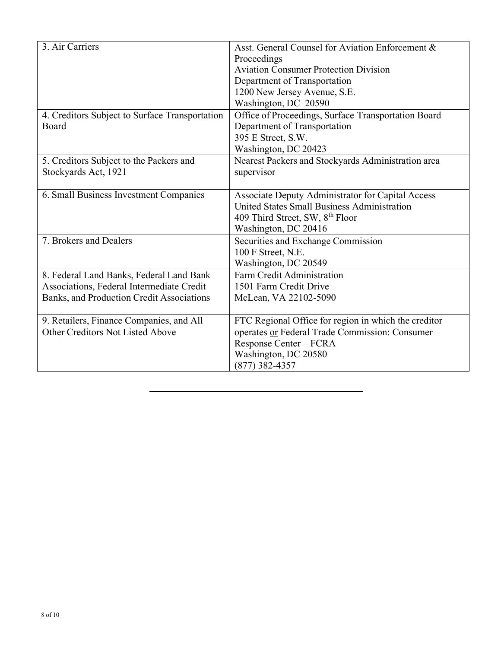| 3. Air Carriers                                | Asst. General Counsel for Aviation Enforcement &     |
|------------------------------------------------|------------------------------------------------------|
|                                                | Proceedings                                          |
|                                                | <b>Aviation Consumer Protection Division</b>         |
|                                                | Department of Transportation                         |
|                                                | 1200 New Jersey Avenue, S.E.                         |
|                                                | Washington, DC 20590                                 |
| 4. Creditors Subject to Surface Transportation | Office of Proceedings, Surface Transportation Board  |
| Board                                          | Department of Transportation                         |
|                                                | 395 E Street, S.W.                                   |
|                                                | Washington, DC 20423                                 |
| 5. Creditors Subject to the Packers and        | Nearest Packers and Stockyards Administration area   |
| Stockyards Act, 1921                           | supervisor                                           |
|                                                |                                                      |
| 6. Small Business Investment Companies         | Associate Deputy Administrator for Capital Access    |
|                                                | United States Small Business Administration          |
|                                                | 409 Third Street, SW, 8 <sup>th</sup> Floor          |
|                                                | Washington, DC 20416                                 |
| 7. Brokers and Dealers                         | Securities and Exchange Commission                   |
|                                                | 100 F Street, N.E.                                   |
|                                                | Washington, DC 20549                                 |
| 8. Federal Land Banks, Federal Land Bank       | Farm Credit Administration                           |
| Associations, Federal Intermediate Credit      | 1501 Farm Credit Drive                               |
| Banks, and Production Credit Associations      | McLean, VA 22102-5090                                |
|                                                |                                                      |
| 9. Retailers, Finance Companies, and All       | FTC Regional Office for region in which the creditor |
| Other Creditors Not Listed Above               | operates or Federal Trade Commission: Consumer       |
|                                                | Response Center - FCRA                               |
|                                                | Washington, DC 20580                                 |
|                                                | $(877)$ 382-4357                                     |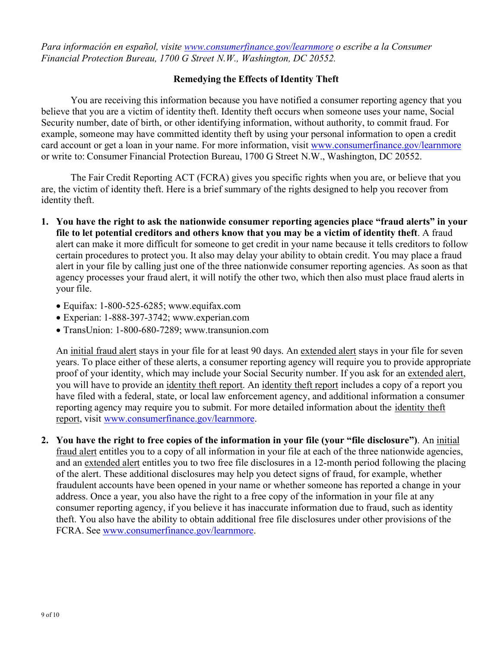*Para información en español, visite [www.consumerfinance.gov/learnmore o](http://www.consumerfinance.gov/learnmore) escribe a la Consumer Financial Protection Bureau, 1700 G Street N.W., Washington, DC 20552.* 

#### **Remedying the Effects of Identity Theft**

You are receiving this information because you have notified a consumer reporting agency that you believe that you are a victim of identity theft. Identity theft occurs when someone uses your name, Social Security number, date of birth, or other identifying information, without authority, to commit fraud. For example, someone may have committed identity theft by using your personal information to open a credit card account or get a loan in your name. For more information, visit [www.consumerfinance.gov/learnmore](http://www.consumerfinance.gov/learnmore) or write to: Consumer Financial Protection Bureau, 1700 G Street N.W., Washington, DC 20552.

The Fair Credit Reporting ACT (FCRA) gives you specific rights when you are, or believe that you are, the victim of identity theft. Here is a brief summary of the rights designed to help you recover from identity theft.

- **1. You have the right to ask the nationwide consumer reporting agencies place "fraud alerts" in your file to let potential creditors and others know that you may be a victim of identity theft**. A fraud alert can make it more difficult for someone to get credit in your name because it tells creditors to follow certain procedures to protect you. It also may delay your ability to obtain credit. You may place a fraud alert in your file by calling just one of the three nationwide consumer reporting agencies. As soon as that agency processes your fraud alert, it will notify the other two, which then also must place fraud alerts in your file.
	- Equifax: 1-800-525-6285; [www.equifax.com](http://www.equifax.com/)
	- Experian: 1-888-397-3742; [www.experian.com](http://www.experian.com/)
	- TransUnion: 1-800-680-7289; [www.transunion.com](http://www.transunion.com/)

An initial fraud alert stays in your file for at least 90 days. An extended alert stays in your file for seven years. To place either of these alerts, a consumer reporting agency will require you to provide appropriate proof of your identity, which may include your Social Security number. If you ask for an extended alert, you will have to provide an identity theft report. An identity theft report includes a copy of a report you have filed with a federal, state, or local law enforcement agency, and additional information a consumer reporting agency may require you to submit. For more detailed information about the identity theft report, visit [www.consumerfinance.gov/learnmore.](http://www.consumerfinance.gov/learnmore)

**2. You have the right to free copies of the information in your file (your "file disclosure")**. An initial fraud alert entitles you to a copy of all information in your file at each of the three nationwide agencies, and an extended alert entitles you to two free file disclosures in a 12-month period following the placing of the alert. These additional disclosures may help you detect signs of fraud, for example, whether fraudulent accounts have been opened in your name or whether someone has reported a change in your address. Once a year, you also have the right to a free copy of the information in your file at any consumer reporting agency, if you believe it has inaccurate information due to fraud, such as identity theft. You also have the ability to obtain additional free file disclosures under other provisions of the FCRA. See [www.consumerfinance.gov/learnmore.](http://www.consumerfinance.gov/learnmore)